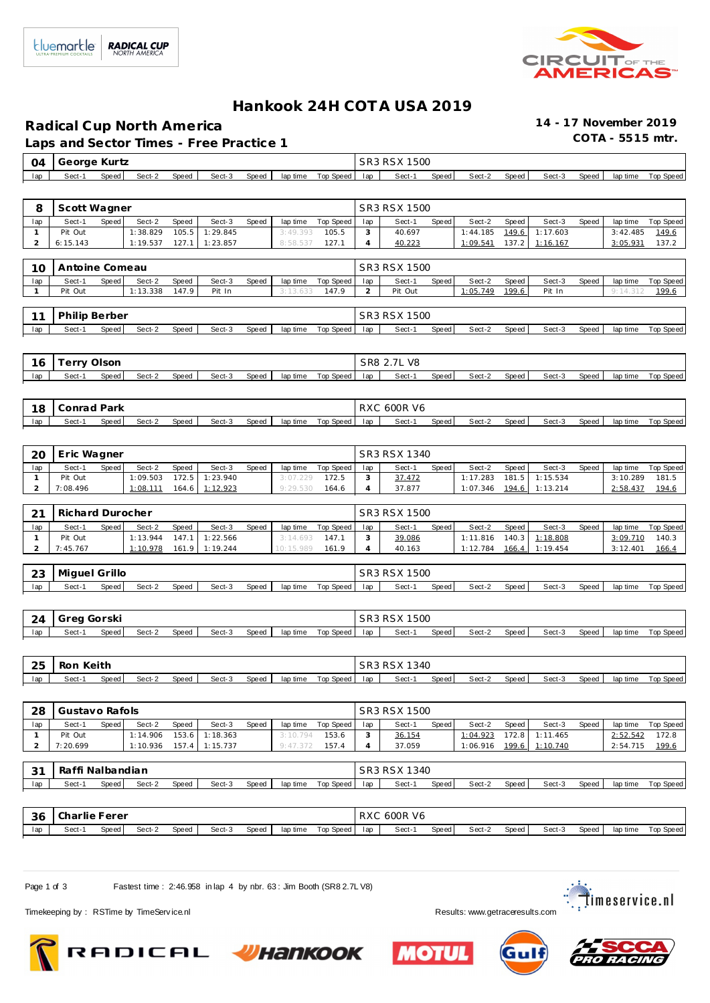

## **Hankook 24H COT A USA 2019**

**Radical Cup North America 14 - 17 November 2019**

Laps and Sector Times - Free Practice 1

|     | 04   George Kurtz |       |        |       |        |       |                       | SR3 RSX 1500 |       |        |       |        |       |          |           |
|-----|-------------------|-------|--------|-------|--------|-------|-----------------------|--------------|-------|--------|-------|--------|-------|----------|-----------|
| lap | Sect-1            | Speed | Sect-2 | Speed | Sect-3 | Speed | laptime Top Speed lap | Sect-1       | Speed | Sect-2 | Speed | Sect-3 | Speed | lap time | Top Speed |

| Sect-1<br>Sect-2<br>Sect-3<br>Top Speed<br>Sect-2<br>Sect-3<br>Top Speed<br>lap<br>Speed<br>Speed<br>Speed<br>lap time<br>Sect-1<br>Speed<br>Speed<br>Speed<br>lap time<br>lap<br>Pit Out<br>1:38.829<br>105.5<br>1:29.845<br>40.697<br>149.6<br>1:17.603<br>3:42.485<br>149.6<br>3:49.393<br>105.5<br>3<br>1:44.185<br>$\mathbf{1}$<br>$\overline{2}$<br>6:15.143<br>1:19.537<br>127.1<br>1:23.857<br>8:58.537<br>127.1<br>40.223<br>1:09.541<br>137.2<br>1:16.167<br>3:05.931<br>137.2<br>4<br>SR3 RSX 1500<br>Antoine Comeau<br>10<br>Sect-1<br>Speed<br>Sect-2<br>Speed<br>Sect-3<br>Speed<br><b>Top Speed</b><br>Sect-1<br>Speed<br>Speed<br><b>Top Speed</b><br>lap<br>lap time<br>lap<br>Sect-2<br>Speed<br>Sect-3<br>lap time<br>199.6<br>Pit Out<br>1:13.338<br>147.9<br>Pit In<br>3:13.633<br>147.9<br>2<br>Pit Out<br>1:05.749<br>Pit In<br>9:14.312<br>199.6<br>$\mathbf{1}$<br>SR3 RSX 1500<br>Philip Berber<br>11<br>Sect-1<br>Speed<br>Sect-2<br>Speed<br>Sect-3<br>Top Speed<br>Sect-1<br>Speed<br>Sect-2<br>Sect-3<br><b>Top Speed</b><br>lap<br>Speed<br>lap time<br>lap<br>Speed<br>Speed<br>lap time<br>SR8 2.7L V8<br><b>Terry Olson</b><br>16<br>Sect-1<br>Speed<br>Sect-2<br>Speed<br>Speed<br>Top Speed<br>Speed<br>Sect-2<br>Speed<br>Sect-3<br>Speed<br>lap<br>Sect-3<br>lap time<br>lap<br>Sect-1<br>lap time<br>Top Speed<br>RXC 600R V6<br>Conrad Park<br>18<br>Sect-1<br>Speed<br>Sect-2<br>Speed<br>Sect-3<br>Speed<br>lap time<br>Top Speed<br>Sect-1<br>Speed<br>Sect-2<br>Speed<br>Sect-3<br>Speed<br>Top Speed<br>lap<br>lap<br>lap time<br>SR3 RSX 1340<br>Eric Wagner<br>20<br>Sect-1<br>Speed<br>Sect-2<br>Speed<br>Sect-3<br>Top Speed<br>Sect-1<br>Speed<br>Sect-3<br>Speed<br><b>Top Speed</b><br>lap<br>Speed<br>lap time<br>Sect-2<br>Speed<br>lap time<br>lap<br>1:15.534<br>Pit Out<br>1:09.503<br>172.5<br>1:23.940<br>172.5<br>37.472<br>1:17.283<br>181.5<br>3:10.289<br>181.5<br>$\mathbf{1}$<br>3:07.229<br>3<br>$\overline{a}$<br>7:08.496<br>1:08.111<br>1:12.923<br>9:29.530<br>4<br>37.877<br>1:07.346<br>194.6<br>1:13.214<br>2:58.437<br>194.6<br>164.6<br>164.6<br>Richard Durocher<br>SR3 RSX 1500<br>21<br>Sect-1<br>Speed<br>Sect-2<br>Speed<br>Sect-3<br>Top Speed<br>Speed<br>Sect-2<br>Sect-3<br><b>Top Speed</b><br>lap<br>Speed<br>lap<br>Sect-1<br>Speed<br>Speed<br>lap time<br>lap time<br>Pit Out<br>1:13.944<br>147.1<br>1:22.566<br>147.1<br>39.086<br>1:11.816<br>140.3<br>1:18.808<br>3:09.710<br>140.3<br>3:14.693<br>3<br>$\mathbf{1}$<br>$\overline{a}$<br>7:45.767<br>1:10.978<br>161.9<br>1:19.244<br>10:15.989<br>161.9<br>4<br>40.163<br>1:12.784<br>1:19.454<br>3:12.401<br>166.4<br>166.4<br>SR3 RSX 1500<br>23<br>Miguel Grillo<br>Sect-1<br>Sect-2<br>Sect-3<br>Top Speed<br>Sect-2<br>lap<br>Speed<br>Speed<br>Speed<br>lap time<br>lap<br>Sect-1<br>Speed<br>Speed<br>Sect-3<br>Speed<br>lap time<br>Top Speed<br>SR3 RSX 1500<br>Greg Gorski<br>24<br>Sect-1<br>Speed<br>Sect-2<br>Speed<br>Sect-3<br>Speed<br>lap time<br>Top Speed<br>Sect-1<br>Speed<br>Sect-2<br>Speed<br>Sect-3<br>Speed<br>lap<br>lap<br>lap time<br><b>Top Speed</b><br>Ron Keith<br>SR3 RSX 1340<br>25<br>Sect-1<br>Speed<br>Sect-2<br>Speed<br>Sect-3<br>Speed<br>lap time<br>Top Speed<br>Sect-1<br>Speed<br>Sect-2<br>Speed<br>Sect-3<br>Speed<br>Top Speed<br>lap<br>lap<br>lap time<br>SR3 RSX 1500<br>Gustavo Rafols<br>28<br>lap<br>Sect-1<br>Speed<br>Sect-2<br>Speed<br>Sect-3<br>Speed<br>lap time<br>Top Speed<br>Speed<br>Sect-2<br>Sect-3<br>Speed<br>lap time<br>Top Speed<br>lap<br>Sect-1<br>Speed<br>Pit Out<br>1:14.906  153.6  1:18.363<br>36.154<br>$1:04.923$ 172.8 1:11.465<br>$2:52.542$ 172.8<br>$3:10.794$ <b>153.6</b><br>$\overline{a}$<br>7:20.699<br>1:10.936 157.4 1:15.737<br>$9:47.372$ 157.4<br>1:06.916 199.6 1:10.740<br>37.059<br>2:54.715 199.6<br>$\overline{4}$<br>Raffi Nalbandian<br>SR3 RSX 1340<br>31<br>Sect-1 Speed<br>Sect-1<br>Sect-2<br>Speed<br>Sect-3<br>Speed<br>lap time Top Speed<br> ap <br>Speed<br>Sect-2<br>Speed<br>Sect-3<br>Speed<br>lap time Top Speed<br>lap<br>RXC 600R V6<br>36<br>Charlie Ferer<br>Sect-3<br>Top Speed<br>Sect-2<br>Sect-3<br>Sect-1<br>Speed<br>Sect-2<br>Speed<br>Speed<br>lap time<br>lap<br>Sect-1<br>Speed<br>Speed<br>Speed<br>lap time<br><b>Top Speed</b><br>lap | 8 | Scott Wagner |  |  |  |  | SR3 RSX 1500 |  |  |  |  |
|--------------------------------------------------------------------------------------------------------------------------------------------------------------------------------------------------------------------------------------------------------------------------------------------------------------------------------------------------------------------------------------------------------------------------------------------------------------------------------------------------------------------------------------------------------------------------------------------------------------------------------------------------------------------------------------------------------------------------------------------------------------------------------------------------------------------------------------------------------------------------------------------------------------------------------------------------------------------------------------------------------------------------------------------------------------------------------------------------------------------------------------------------------------------------------------------------------------------------------------------------------------------------------------------------------------------------------------------------------------------------------------------------------------------------------------------------------------------------------------------------------------------------------------------------------------------------------------------------------------------------------------------------------------------------------------------------------------------------------------------------------------------------------------------------------------------------------------------------------------------------------------------------------------------------------------------------------------------------------------------------------------------------------------------------------------------------------------------------------------------------------------------------------------------------------------------------------------------------------------------------------------------------------------------------------------------------------------------------------------------------------------------------------------------------------------------------------------------------------------------------------------------------------------------------------------------------------------------------------------------------------------------------------------------------------------------------------------------------------------------------------------------------------------------------------------------------------------------------------------------------------------------------------------------------------------------------------------------------------------------------------------------------------------------------------------------------------------------------------------------------------------------------------------------------------------------------------------------------------------------------------------------------------------------------------------------------------------------------------------------------------------------------------------------------------------------------------------------------------------------------------------------------------------------------------------------------------------------------------------------------------------------------------------------------------------------------------------------------------------------------------------------------------------------------------------------------------------------------------------------------------------------------------------------------------------------------------------------------------------------------------------------------------------------------------------------------------------------------------------------------------------------------------------------------------------------------------------------------------------------------------------------------------------------------------------------------|---|--------------|--|--|--|--|--------------|--|--|--|--|
|                                                                                                                                                                                                                                                                                                                                                                                                                                                                                                                                                                                                                                                                                                                                                                                                                                                                                                                                                                                                                                                                                                                                                                                                                                                                                                                                                                                                                                                                                                                                                                                                                                                                                                                                                                                                                                                                                                                                                                                                                                                                                                                                                                                                                                                                                                                                                                                                                                                                                                                                                                                                                                                                                                                                                                                                                                                                                                                                                                                                                                                                                                                                                                                                                                                                                                                                                                                                                                                                                                                                                                                                                                                                                                                                                                                                                                                                                                                                                                                                                                                                                                                                                                                                                                                                                                                          |   |              |  |  |  |  |              |  |  |  |  |
|                                                                                                                                                                                                                                                                                                                                                                                                                                                                                                                                                                                                                                                                                                                                                                                                                                                                                                                                                                                                                                                                                                                                                                                                                                                                                                                                                                                                                                                                                                                                                                                                                                                                                                                                                                                                                                                                                                                                                                                                                                                                                                                                                                                                                                                                                                                                                                                                                                                                                                                                                                                                                                                                                                                                                                                                                                                                                                                                                                                                                                                                                                                                                                                                                                                                                                                                                                                                                                                                                                                                                                                                                                                                                                                                                                                                                                                                                                                                                                                                                                                                                                                                                                                                                                                                                                                          |   |              |  |  |  |  |              |  |  |  |  |
|                                                                                                                                                                                                                                                                                                                                                                                                                                                                                                                                                                                                                                                                                                                                                                                                                                                                                                                                                                                                                                                                                                                                                                                                                                                                                                                                                                                                                                                                                                                                                                                                                                                                                                                                                                                                                                                                                                                                                                                                                                                                                                                                                                                                                                                                                                                                                                                                                                                                                                                                                                                                                                                                                                                                                                                                                                                                                                                                                                                                                                                                                                                                                                                                                                                                                                                                                                                                                                                                                                                                                                                                                                                                                                                                                                                                                                                                                                                                                                                                                                                                                                                                                                                                                                                                                                                          |   |              |  |  |  |  |              |  |  |  |  |
|                                                                                                                                                                                                                                                                                                                                                                                                                                                                                                                                                                                                                                                                                                                                                                                                                                                                                                                                                                                                                                                                                                                                                                                                                                                                                                                                                                                                                                                                                                                                                                                                                                                                                                                                                                                                                                                                                                                                                                                                                                                                                                                                                                                                                                                                                                                                                                                                                                                                                                                                                                                                                                                                                                                                                                                                                                                                                                                                                                                                                                                                                                                                                                                                                                                                                                                                                                                                                                                                                                                                                                                                                                                                                                                                                                                                                                                                                                                                                                                                                                                                                                                                                                                                                                                                                                                          |   |              |  |  |  |  |              |  |  |  |  |
|                                                                                                                                                                                                                                                                                                                                                                                                                                                                                                                                                                                                                                                                                                                                                                                                                                                                                                                                                                                                                                                                                                                                                                                                                                                                                                                                                                                                                                                                                                                                                                                                                                                                                                                                                                                                                                                                                                                                                                                                                                                                                                                                                                                                                                                                                                                                                                                                                                                                                                                                                                                                                                                                                                                                                                                                                                                                                                                                                                                                                                                                                                                                                                                                                                                                                                                                                                                                                                                                                                                                                                                                                                                                                                                                                                                                                                                                                                                                                                                                                                                                                                                                                                                                                                                                                                                          |   |              |  |  |  |  |              |  |  |  |  |
|                                                                                                                                                                                                                                                                                                                                                                                                                                                                                                                                                                                                                                                                                                                                                                                                                                                                                                                                                                                                                                                                                                                                                                                                                                                                                                                                                                                                                                                                                                                                                                                                                                                                                                                                                                                                                                                                                                                                                                                                                                                                                                                                                                                                                                                                                                                                                                                                                                                                                                                                                                                                                                                                                                                                                                                                                                                                                                                                                                                                                                                                                                                                                                                                                                                                                                                                                                                                                                                                                                                                                                                                                                                                                                                                                                                                                                                                                                                                                                                                                                                                                                                                                                                                                                                                                                                          |   |              |  |  |  |  |              |  |  |  |  |
|                                                                                                                                                                                                                                                                                                                                                                                                                                                                                                                                                                                                                                                                                                                                                                                                                                                                                                                                                                                                                                                                                                                                                                                                                                                                                                                                                                                                                                                                                                                                                                                                                                                                                                                                                                                                                                                                                                                                                                                                                                                                                                                                                                                                                                                                                                                                                                                                                                                                                                                                                                                                                                                                                                                                                                                                                                                                                                                                                                                                                                                                                                                                                                                                                                                                                                                                                                                                                                                                                                                                                                                                                                                                                                                                                                                                                                                                                                                                                                                                                                                                                                                                                                                                                                                                                                                          |   |              |  |  |  |  |              |  |  |  |  |
|                                                                                                                                                                                                                                                                                                                                                                                                                                                                                                                                                                                                                                                                                                                                                                                                                                                                                                                                                                                                                                                                                                                                                                                                                                                                                                                                                                                                                                                                                                                                                                                                                                                                                                                                                                                                                                                                                                                                                                                                                                                                                                                                                                                                                                                                                                                                                                                                                                                                                                                                                                                                                                                                                                                                                                                                                                                                                                                                                                                                                                                                                                                                                                                                                                                                                                                                                                                                                                                                                                                                                                                                                                                                                                                                                                                                                                                                                                                                                                                                                                                                                                                                                                                                                                                                                                                          |   |              |  |  |  |  |              |  |  |  |  |
|                                                                                                                                                                                                                                                                                                                                                                                                                                                                                                                                                                                                                                                                                                                                                                                                                                                                                                                                                                                                                                                                                                                                                                                                                                                                                                                                                                                                                                                                                                                                                                                                                                                                                                                                                                                                                                                                                                                                                                                                                                                                                                                                                                                                                                                                                                                                                                                                                                                                                                                                                                                                                                                                                                                                                                                                                                                                                                                                                                                                                                                                                                                                                                                                                                                                                                                                                                                                                                                                                                                                                                                                                                                                                                                                                                                                                                                                                                                                                                                                                                                                                                                                                                                                                                                                                                                          |   |              |  |  |  |  |              |  |  |  |  |
|                                                                                                                                                                                                                                                                                                                                                                                                                                                                                                                                                                                                                                                                                                                                                                                                                                                                                                                                                                                                                                                                                                                                                                                                                                                                                                                                                                                                                                                                                                                                                                                                                                                                                                                                                                                                                                                                                                                                                                                                                                                                                                                                                                                                                                                                                                                                                                                                                                                                                                                                                                                                                                                                                                                                                                                                                                                                                                                                                                                                                                                                                                                                                                                                                                                                                                                                                                                                                                                                                                                                                                                                                                                                                                                                                                                                                                                                                                                                                                                                                                                                                                                                                                                                                                                                                                                          |   |              |  |  |  |  |              |  |  |  |  |
|                                                                                                                                                                                                                                                                                                                                                                                                                                                                                                                                                                                                                                                                                                                                                                                                                                                                                                                                                                                                                                                                                                                                                                                                                                                                                                                                                                                                                                                                                                                                                                                                                                                                                                                                                                                                                                                                                                                                                                                                                                                                                                                                                                                                                                                                                                                                                                                                                                                                                                                                                                                                                                                                                                                                                                                                                                                                                                                                                                                                                                                                                                                                                                                                                                                                                                                                                                                                                                                                                                                                                                                                                                                                                                                                                                                                                                                                                                                                                                                                                                                                                                                                                                                                                                                                                                                          |   |              |  |  |  |  |              |  |  |  |  |
|                                                                                                                                                                                                                                                                                                                                                                                                                                                                                                                                                                                                                                                                                                                                                                                                                                                                                                                                                                                                                                                                                                                                                                                                                                                                                                                                                                                                                                                                                                                                                                                                                                                                                                                                                                                                                                                                                                                                                                                                                                                                                                                                                                                                                                                                                                                                                                                                                                                                                                                                                                                                                                                                                                                                                                                                                                                                                                                                                                                                                                                                                                                                                                                                                                                                                                                                                                                                                                                                                                                                                                                                                                                                                                                                                                                                                                                                                                                                                                                                                                                                                                                                                                                                                                                                                                                          |   |              |  |  |  |  |              |  |  |  |  |
|                                                                                                                                                                                                                                                                                                                                                                                                                                                                                                                                                                                                                                                                                                                                                                                                                                                                                                                                                                                                                                                                                                                                                                                                                                                                                                                                                                                                                                                                                                                                                                                                                                                                                                                                                                                                                                                                                                                                                                                                                                                                                                                                                                                                                                                                                                                                                                                                                                                                                                                                                                                                                                                                                                                                                                                                                                                                                                                                                                                                                                                                                                                                                                                                                                                                                                                                                                                                                                                                                                                                                                                                                                                                                                                                                                                                                                                                                                                                                                                                                                                                                                                                                                                                                                                                                                                          |   |              |  |  |  |  |              |  |  |  |  |
|                                                                                                                                                                                                                                                                                                                                                                                                                                                                                                                                                                                                                                                                                                                                                                                                                                                                                                                                                                                                                                                                                                                                                                                                                                                                                                                                                                                                                                                                                                                                                                                                                                                                                                                                                                                                                                                                                                                                                                                                                                                                                                                                                                                                                                                                                                                                                                                                                                                                                                                                                                                                                                                                                                                                                                                                                                                                                                                                                                                                                                                                                                                                                                                                                                                                                                                                                                                                                                                                                                                                                                                                                                                                                                                                                                                                                                                                                                                                                                                                                                                                                                                                                                                                                                                                                                                          |   |              |  |  |  |  |              |  |  |  |  |
|                                                                                                                                                                                                                                                                                                                                                                                                                                                                                                                                                                                                                                                                                                                                                                                                                                                                                                                                                                                                                                                                                                                                                                                                                                                                                                                                                                                                                                                                                                                                                                                                                                                                                                                                                                                                                                                                                                                                                                                                                                                                                                                                                                                                                                                                                                                                                                                                                                                                                                                                                                                                                                                                                                                                                                                                                                                                                                                                                                                                                                                                                                                                                                                                                                                                                                                                                                                                                                                                                                                                                                                                                                                                                                                                                                                                                                                                                                                                                                                                                                                                                                                                                                                                                                                                                                                          |   |              |  |  |  |  |              |  |  |  |  |
|                                                                                                                                                                                                                                                                                                                                                                                                                                                                                                                                                                                                                                                                                                                                                                                                                                                                                                                                                                                                                                                                                                                                                                                                                                                                                                                                                                                                                                                                                                                                                                                                                                                                                                                                                                                                                                                                                                                                                                                                                                                                                                                                                                                                                                                                                                                                                                                                                                                                                                                                                                                                                                                                                                                                                                                                                                                                                                                                                                                                                                                                                                                                                                                                                                                                                                                                                                                                                                                                                                                                                                                                                                                                                                                                                                                                                                                                                                                                                                                                                                                                                                                                                                                                                                                                                                                          |   |              |  |  |  |  |              |  |  |  |  |
|                                                                                                                                                                                                                                                                                                                                                                                                                                                                                                                                                                                                                                                                                                                                                                                                                                                                                                                                                                                                                                                                                                                                                                                                                                                                                                                                                                                                                                                                                                                                                                                                                                                                                                                                                                                                                                                                                                                                                                                                                                                                                                                                                                                                                                                                                                                                                                                                                                                                                                                                                                                                                                                                                                                                                                                                                                                                                                                                                                                                                                                                                                                                                                                                                                                                                                                                                                                                                                                                                                                                                                                                                                                                                                                                                                                                                                                                                                                                                                                                                                                                                                                                                                                                                                                                                                                          |   |              |  |  |  |  |              |  |  |  |  |
|                                                                                                                                                                                                                                                                                                                                                                                                                                                                                                                                                                                                                                                                                                                                                                                                                                                                                                                                                                                                                                                                                                                                                                                                                                                                                                                                                                                                                                                                                                                                                                                                                                                                                                                                                                                                                                                                                                                                                                                                                                                                                                                                                                                                                                                                                                                                                                                                                                                                                                                                                                                                                                                                                                                                                                                                                                                                                                                                                                                                                                                                                                                                                                                                                                                                                                                                                                                                                                                                                                                                                                                                                                                                                                                                                                                                                                                                                                                                                                                                                                                                                                                                                                                                                                                                                                                          |   |              |  |  |  |  |              |  |  |  |  |
|                                                                                                                                                                                                                                                                                                                                                                                                                                                                                                                                                                                                                                                                                                                                                                                                                                                                                                                                                                                                                                                                                                                                                                                                                                                                                                                                                                                                                                                                                                                                                                                                                                                                                                                                                                                                                                                                                                                                                                                                                                                                                                                                                                                                                                                                                                                                                                                                                                                                                                                                                                                                                                                                                                                                                                                                                                                                                                                                                                                                                                                                                                                                                                                                                                                                                                                                                                                                                                                                                                                                                                                                                                                                                                                                                                                                                                                                                                                                                                                                                                                                                                                                                                                                                                                                                                                          |   |              |  |  |  |  |              |  |  |  |  |
|                                                                                                                                                                                                                                                                                                                                                                                                                                                                                                                                                                                                                                                                                                                                                                                                                                                                                                                                                                                                                                                                                                                                                                                                                                                                                                                                                                                                                                                                                                                                                                                                                                                                                                                                                                                                                                                                                                                                                                                                                                                                                                                                                                                                                                                                                                                                                                                                                                                                                                                                                                                                                                                                                                                                                                                                                                                                                                                                                                                                                                                                                                                                                                                                                                                                                                                                                                                                                                                                                                                                                                                                                                                                                                                                                                                                                                                                                                                                                                                                                                                                                                                                                                                                                                                                                                                          |   |              |  |  |  |  |              |  |  |  |  |
|                                                                                                                                                                                                                                                                                                                                                                                                                                                                                                                                                                                                                                                                                                                                                                                                                                                                                                                                                                                                                                                                                                                                                                                                                                                                                                                                                                                                                                                                                                                                                                                                                                                                                                                                                                                                                                                                                                                                                                                                                                                                                                                                                                                                                                                                                                                                                                                                                                                                                                                                                                                                                                                                                                                                                                                                                                                                                                                                                                                                                                                                                                                                                                                                                                                                                                                                                                                                                                                                                                                                                                                                                                                                                                                                                                                                                                                                                                                                                                                                                                                                                                                                                                                                                                                                                                                          |   |              |  |  |  |  |              |  |  |  |  |
|                                                                                                                                                                                                                                                                                                                                                                                                                                                                                                                                                                                                                                                                                                                                                                                                                                                                                                                                                                                                                                                                                                                                                                                                                                                                                                                                                                                                                                                                                                                                                                                                                                                                                                                                                                                                                                                                                                                                                                                                                                                                                                                                                                                                                                                                                                                                                                                                                                                                                                                                                                                                                                                                                                                                                                                                                                                                                                                                                                                                                                                                                                                                                                                                                                                                                                                                                                                                                                                                                                                                                                                                                                                                                                                                                                                                                                                                                                                                                                                                                                                                                                                                                                                                                                                                                                                          |   |              |  |  |  |  |              |  |  |  |  |
|                                                                                                                                                                                                                                                                                                                                                                                                                                                                                                                                                                                                                                                                                                                                                                                                                                                                                                                                                                                                                                                                                                                                                                                                                                                                                                                                                                                                                                                                                                                                                                                                                                                                                                                                                                                                                                                                                                                                                                                                                                                                                                                                                                                                                                                                                                                                                                                                                                                                                                                                                                                                                                                                                                                                                                                                                                                                                                                                                                                                                                                                                                                                                                                                                                                                                                                                                                                                                                                                                                                                                                                                                                                                                                                                                                                                                                                                                                                                                                                                                                                                                                                                                                                                                                                                                                                          |   |              |  |  |  |  |              |  |  |  |  |
|                                                                                                                                                                                                                                                                                                                                                                                                                                                                                                                                                                                                                                                                                                                                                                                                                                                                                                                                                                                                                                                                                                                                                                                                                                                                                                                                                                                                                                                                                                                                                                                                                                                                                                                                                                                                                                                                                                                                                                                                                                                                                                                                                                                                                                                                                                                                                                                                                                                                                                                                                                                                                                                                                                                                                                                                                                                                                                                                                                                                                                                                                                                                                                                                                                                                                                                                                                                                                                                                                                                                                                                                                                                                                                                                                                                                                                                                                                                                                                                                                                                                                                                                                                                                                                                                                                                          |   |              |  |  |  |  |              |  |  |  |  |
|                                                                                                                                                                                                                                                                                                                                                                                                                                                                                                                                                                                                                                                                                                                                                                                                                                                                                                                                                                                                                                                                                                                                                                                                                                                                                                                                                                                                                                                                                                                                                                                                                                                                                                                                                                                                                                                                                                                                                                                                                                                                                                                                                                                                                                                                                                                                                                                                                                                                                                                                                                                                                                                                                                                                                                                                                                                                                                                                                                                                                                                                                                                                                                                                                                                                                                                                                                                                                                                                                                                                                                                                                                                                                                                                                                                                                                                                                                                                                                                                                                                                                                                                                                                                                                                                                                                          |   |              |  |  |  |  |              |  |  |  |  |
|                                                                                                                                                                                                                                                                                                                                                                                                                                                                                                                                                                                                                                                                                                                                                                                                                                                                                                                                                                                                                                                                                                                                                                                                                                                                                                                                                                                                                                                                                                                                                                                                                                                                                                                                                                                                                                                                                                                                                                                                                                                                                                                                                                                                                                                                                                                                                                                                                                                                                                                                                                                                                                                                                                                                                                                                                                                                                                                                                                                                                                                                                                                                                                                                                                                                                                                                                                                                                                                                                                                                                                                                                                                                                                                                                                                                                                                                                                                                                                                                                                                                                                                                                                                                                                                                                                                          |   |              |  |  |  |  |              |  |  |  |  |
|                                                                                                                                                                                                                                                                                                                                                                                                                                                                                                                                                                                                                                                                                                                                                                                                                                                                                                                                                                                                                                                                                                                                                                                                                                                                                                                                                                                                                                                                                                                                                                                                                                                                                                                                                                                                                                                                                                                                                                                                                                                                                                                                                                                                                                                                                                                                                                                                                                                                                                                                                                                                                                                                                                                                                                                                                                                                                                                                                                                                                                                                                                                                                                                                                                                                                                                                                                                                                                                                                                                                                                                                                                                                                                                                                                                                                                                                                                                                                                                                                                                                                                                                                                                                                                                                                                                          |   |              |  |  |  |  |              |  |  |  |  |
|                                                                                                                                                                                                                                                                                                                                                                                                                                                                                                                                                                                                                                                                                                                                                                                                                                                                                                                                                                                                                                                                                                                                                                                                                                                                                                                                                                                                                                                                                                                                                                                                                                                                                                                                                                                                                                                                                                                                                                                                                                                                                                                                                                                                                                                                                                                                                                                                                                                                                                                                                                                                                                                                                                                                                                                                                                                                                                                                                                                                                                                                                                                                                                                                                                                                                                                                                                                                                                                                                                                                                                                                                                                                                                                                                                                                                                                                                                                                                                                                                                                                                                                                                                                                                                                                                                                          |   |              |  |  |  |  |              |  |  |  |  |
|                                                                                                                                                                                                                                                                                                                                                                                                                                                                                                                                                                                                                                                                                                                                                                                                                                                                                                                                                                                                                                                                                                                                                                                                                                                                                                                                                                                                                                                                                                                                                                                                                                                                                                                                                                                                                                                                                                                                                                                                                                                                                                                                                                                                                                                                                                                                                                                                                                                                                                                                                                                                                                                                                                                                                                                                                                                                                                                                                                                                                                                                                                                                                                                                                                                                                                                                                                                                                                                                                                                                                                                                                                                                                                                                                                                                                                                                                                                                                                                                                                                                                                                                                                                                                                                                                                                          |   |              |  |  |  |  |              |  |  |  |  |
|                                                                                                                                                                                                                                                                                                                                                                                                                                                                                                                                                                                                                                                                                                                                                                                                                                                                                                                                                                                                                                                                                                                                                                                                                                                                                                                                                                                                                                                                                                                                                                                                                                                                                                                                                                                                                                                                                                                                                                                                                                                                                                                                                                                                                                                                                                                                                                                                                                                                                                                                                                                                                                                                                                                                                                                                                                                                                                                                                                                                                                                                                                                                                                                                                                                                                                                                                                                                                                                                                                                                                                                                                                                                                                                                                                                                                                                                                                                                                                                                                                                                                                                                                                                                                                                                                                                          |   |              |  |  |  |  |              |  |  |  |  |
|                                                                                                                                                                                                                                                                                                                                                                                                                                                                                                                                                                                                                                                                                                                                                                                                                                                                                                                                                                                                                                                                                                                                                                                                                                                                                                                                                                                                                                                                                                                                                                                                                                                                                                                                                                                                                                                                                                                                                                                                                                                                                                                                                                                                                                                                                                                                                                                                                                                                                                                                                                                                                                                                                                                                                                                                                                                                                                                                                                                                                                                                                                                                                                                                                                                                                                                                                                                                                                                                                                                                                                                                                                                                                                                                                                                                                                                                                                                                                                                                                                                                                                                                                                                                                                                                                                                          |   |              |  |  |  |  |              |  |  |  |  |
|                                                                                                                                                                                                                                                                                                                                                                                                                                                                                                                                                                                                                                                                                                                                                                                                                                                                                                                                                                                                                                                                                                                                                                                                                                                                                                                                                                                                                                                                                                                                                                                                                                                                                                                                                                                                                                                                                                                                                                                                                                                                                                                                                                                                                                                                                                                                                                                                                                                                                                                                                                                                                                                                                                                                                                                                                                                                                                                                                                                                                                                                                                                                                                                                                                                                                                                                                                                                                                                                                                                                                                                                                                                                                                                                                                                                                                                                                                                                                                                                                                                                                                                                                                                                                                                                                                                          |   |              |  |  |  |  |              |  |  |  |  |
|                                                                                                                                                                                                                                                                                                                                                                                                                                                                                                                                                                                                                                                                                                                                                                                                                                                                                                                                                                                                                                                                                                                                                                                                                                                                                                                                                                                                                                                                                                                                                                                                                                                                                                                                                                                                                                                                                                                                                                                                                                                                                                                                                                                                                                                                                                                                                                                                                                                                                                                                                                                                                                                                                                                                                                                                                                                                                                                                                                                                                                                                                                                                                                                                                                                                                                                                                                                                                                                                                                                                                                                                                                                                                                                                                                                                                                                                                                                                                                                                                                                                                                                                                                                                                                                                                                                          |   |              |  |  |  |  |              |  |  |  |  |
|                                                                                                                                                                                                                                                                                                                                                                                                                                                                                                                                                                                                                                                                                                                                                                                                                                                                                                                                                                                                                                                                                                                                                                                                                                                                                                                                                                                                                                                                                                                                                                                                                                                                                                                                                                                                                                                                                                                                                                                                                                                                                                                                                                                                                                                                                                                                                                                                                                                                                                                                                                                                                                                                                                                                                                                                                                                                                                                                                                                                                                                                                                                                                                                                                                                                                                                                                                                                                                                                                                                                                                                                                                                                                                                                                                                                                                                                                                                                                                                                                                                                                                                                                                                                                                                                                                                          |   |              |  |  |  |  |              |  |  |  |  |
|                                                                                                                                                                                                                                                                                                                                                                                                                                                                                                                                                                                                                                                                                                                                                                                                                                                                                                                                                                                                                                                                                                                                                                                                                                                                                                                                                                                                                                                                                                                                                                                                                                                                                                                                                                                                                                                                                                                                                                                                                                                                                                                                                                                                                                                                                                                                                                                                                                                                                                                                                                                                                                                                                                                                                                                                                                                                                                                                                                                                                                                                                                                                                                                                                                                                                                                                                                                                                                                                                                                                                                                                                                                                                                                                                                                                                                                                                                                                                                                                                                                                                                                                                                                                                                                                                                                          |   |              |  |  |  |  |              |  |  |  |  |
|                                                                                                                                                                                                                                                                                                                                                                                                                                                                                                                                                                                                                                                                                                                                                                                                                                                                                                                                                                                                                                                                                                                                                                                                                                                                                                                                                                                                                                                                                                                                                                                                                                                                                                                                                                                                                                                                                                                                                                                                                                                                                                                                                                                                                                                                                                                                                                                                                                                                                                                                                                                                                                                                                                                                                                                                                                                                                                                                                                                                                                                                                                                                                                                                                                                                                                                                                                                                                                                                                                                                                                                                                                                                                                                                                                                                                                                                                                                                                                                                                                                                                                                                                                                                                                                                                                                          |   |              |  |  |  |  |              |  |  |  |  |
|                                                                                                                                                                                                                                                                                                                                                                                                                                                                                                                                                                                                                                                                                                                                                                                                                                                                                                                                                                                                                                                                                                                                                                                                                                                                                                                                                                                                                                                                                                                                                                                                                                                                                                                                                                                                                                                                                                                                                                                                                                                                                                                                                                                                                                                                                                                                                                                                                                                                                                                                                                                                                                                                                                                                                                                                                                                                                                                                                                                                                                                                                                                                                                                                                                                                                                                                                                                                                                                                                                                                                                                                                                                                                                                                                                                                                                                                                                                                                                                                                                                                                                                                                                                                                                                                                                                          |   |              |  |  |  |  |              |  |  |  |  |
|                                                                                                                                                                                                                                                                                                                                                                                                                                                                                                                                                                                                                                                                                                                                                                                                                                                                                                                                                                                                                                                                                                                                                                                                                                                                                                                                                                                                                                                                                                                                                                                                                                                                                                                                                                                                                                                                                                                                                                                                                                                                                                                                                                                                                                                                                                                                                                                                                                                                                                                                                                                                                                                                                                                                                                                                                                                                                                                                                                                                                                                                                                                                                                                                                                                                                                                                                                                                                                                                                                                                                                                                                                                                                                                                                                                                                                                                                                                                                                                                                                                                                                                                                                                                                                                                                                                          |   |              |  |  |  |  |              |  |  |  |  |
|                                                                                                                                                                                                                                                                                                                                                                                                                                                                                                                                                                                                                                                                                                                                                                                                                                                                                                                                                                                                                                                                                                                                                                                                                                                                                                                                                                                                                                                                                                                                                                                                                                                                                                                                                                                                                                                                                                                                                                                                                                                                                                                                                                                                                                                                                                                                                                                                                                                                                                                                                                                                                                                                                                                                                                                                                                                                                                                                                                                                                                                                                                                                                                                                                                                                                                                                                                                                                                                                                                                                                                                                                                                                                                                                                                                                                                                                                                                                                                                                                                                                                                                                                                                                                                                                                                                          |   |              |  |  |  |  |              |  |  |  |  |
|                                                                                                                                                                                                                                                                                                                                                                                                                                                                                                                                                                                                                                                                                                                                                                                                                                                                                                                                                                                                                                                                                                                                                                                                                                                                                                                                                                                                                                                                                                                                                                                                                                                                                                                                                                                                                                                                                                                                                                                                                                                                                                                                                                                                                                                                                                                                                                                                                                                                                                                                                                                                                                                                                                                                                                                                                                                                                                                                                                                                                                                                                                                                                                                                                                                                                                                                                                                                                                                                                                                                                                                                                                                                                                                                                                                                                                                                                                                                                                                                                                                                                                                                                                                                                                                                                                                          |   |              |  |  |  |  |              |  |  |  |  |
|                                                                                                                                                                                                                                                                                                                                                                                                                                                                                                                                                                                                                                                                                                                                                                                                                                                                                                                                                                                                                                                                                                                                                                                                                                                                                                                                                                                                                                                                                                                                                                                                                                                                                                                                                                                                                                                                                                                                                                                                                                                                                                                                                                                                                                                                                                                                                                                                                                                                                                                                                                                                                                                                                                                                                                                                                                                                                                                                                                                                                                                                                                                                                                                                                                                                                                                                                                                                                                                                                                                                                                                                                                                                                                                                                                                                                                                                                                                                                                                                                                                                                                                                                                                                                                                                                                                          |   |              |  |  |  |  |              |  |  |  |  |
|                                                                                                                                                                                                                                                                                                                                                                                                                                                                                                                                                                                                                                                                                                                                                                                                                                                                                                                                                                                                                                                                                                                                                                                                                                                                                                                                                                                                                                                                                                                                                                                                                                                                                                                                                                                                                                                                                                                                                                                                                                                                                                                                                                                                                                                                                                                                                                                                                                                                                                                                                                                                                                                                                                                                                                                                                                                                                                                                                                                                                                                                                                                                                                                                                                                                                                                                                                                                                                                                                                                                                                                                                                                                                                                                                                                                                                                                                                                                                                                                                                                                                                                                                                                                                                                                                                                          |   |              |  |  |  |  |              |  |  |  |  |
|                                                                                                                                                                                                                                                                                                                                                                                                                                                                                                                                                                                                                                                                                                                                                                                                                                                                                                                                                                                                                                                                                                                                                                                                                                                                                                                                                                                                                                                                                                                                                                                                                                                                                                                                                                                                                                                                                                                                                                                                                                                                                                                                                                                                                                                                                                                                                                                                                                                                                                                                                                                                                                                                                                                                                                                                                                                                                                                                                                                                                                                                                                                                                                                                                                                                                                                                                                                                                                                                                                                                                                                                                                                                                                                                                                                                                                                                                                                                                                                                                                                                                                                                                                                                                                                                                                                          |   |              |  |  |  |  |              |  |  |  |  |
|                                                                                                                                                                                                                                                                                                                                                                                                                                                                                                                                                                                                                                                                                                                                                                                                                                                                                                                                                                                                                                                                                                                                                                                                                                                                                                                                                                                                                                                                                                                                                                                                                                                                                                                                                                                                                                                                                                                                                                                                                                                                                                                                                                                                                                                                                                                                                                                                                                                                                                                                                                                                                                                                                                                                                                                                                                                                                                                                                                                                                                                                                                                                                                                                                                                                                                                                                                                                                                                                                                                                                                                                                                                                                                                                                                                                                                                                                                                                                                                                                                                                                                                                                                                                                                                                                                                          |   |              |  |  |  |  |              |  |  |  |  |
|                                                                                                                                                                                                                                                                                                                                                                                                                                                                                                                                                                                                                                                                                                                                                                                                                                                                                                                                                                                                                                                                                                                                                                                                                                                                                                                                                                                                                                                                                                                                                                                                                                                                                                                                                                                                                                                                                                                                                                                                                                                                                                                                                                                                                                                                                                                                                                                                                                                                                                                                                                                                                                                                                                                                                                                                                                                                                                                                                                                                                                                                                                                                                                                                                                                                                                                                                                                                                                                                                                                                                                                                                                                                                                                                                                                                                                                                                                                                                                                                                                                                                                                                                                                                                                                                                                                          |   |              |  |  |  |  |              |  |  |  |  |

Page 1 of 3 Fastest time : 2:46.958 in lap 4 by nbr. 63 : Jim Booth (SR8 2.7L V8)





**MOTUL** 





Timekeeping by : RSTime by TimeServ ice.nl **Results:** WWW.getraceresults.com



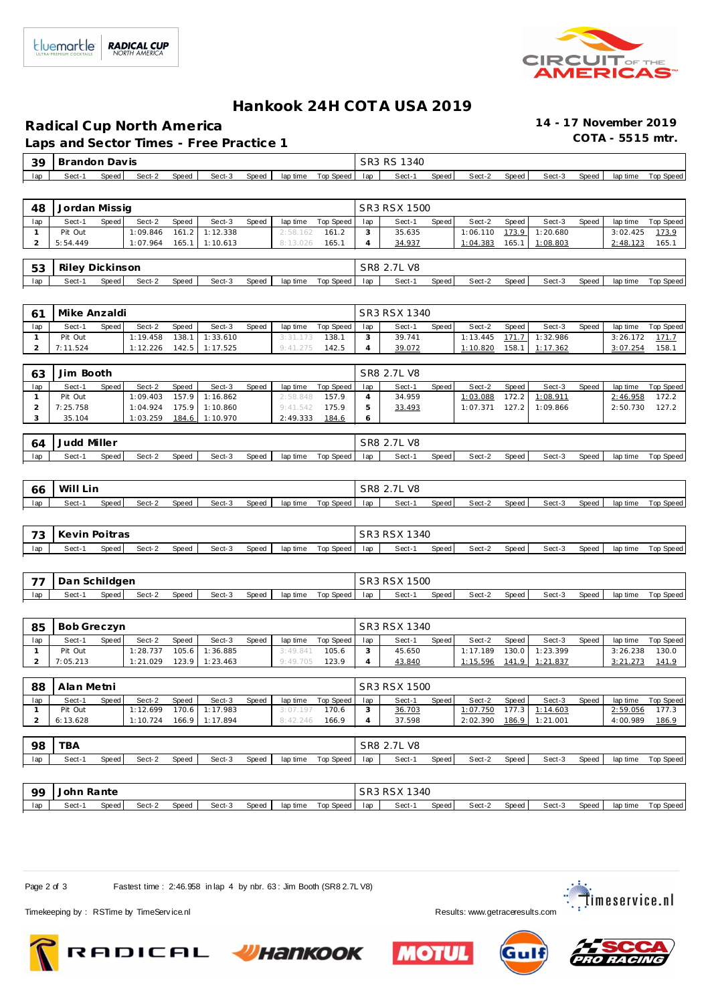

## **Hankook 24H COT A USA 2019**

**Radical Cup North America 14 - 17 November 2019**

Laps and Sector Times - Free Practice 1

| $-39$ 1 | Brandon | ⊢Dav is |        |       |        |       |          |           |     | SR3 RS 1340 |       |        |       |        |       |          |           |
|---------|---------|---------|--------|-------|--------|-------|----------|-----------|-----|-------------|-------|--------|-------|--------|-------|----------|-----------|
| lap     | Sect-1  | Speed I | Sect-2 | Speed | Sect-3 | Speed | lap time | Top Speed | lap | Sect-1      | Speed | Sect-2 | Speed | Sect-3 | Speed | lap time | Top Speed |

| 48  | Jordan Missig   |       |          |       |                  |              |          |           |     | SR3 RSX 1500 |              |          |         |          |       |          |           |
|-----|-----------------|-------|----------|-------|------------------|--------------|----------|-----------|-----|--------------|--------------|----------|---------|----------|-------|----------|-----------|
| lap | Sect-1          | Speed | Sect-2   | Speed | Sect-3           | <b>Speed</b> | lap time | Top Speed | lap | Sect-1       | <b>Speed</b> | Sect-2   | Speed   | Sect-3   | Speed | lap time | Top Speed |
|     | Pit Out         |       | 1:09.846 | 161.2 | 1:12.338         |              | 2:58.162 | 161.2     |     | 35.635       |              | 1:06.110 | 173.9   | 1:20.680 |       | 3:02.425 | 173.9     |
|     | 5:54.449        |       | 1:07.964 |       | $165.1$ 1:10.613 |              | 8:13.026 | 165.1     |     | 34.937       |              | 1:04.383 | 165.1 l | 1:08.803 |       | 2:48.123 | 165.1     |
|     |                 |       |          |       |                  |              |          |           |     |              |              |          |         |          |       |          |           |
| 53  | Riley Dickinson |       |          |       |                  |              |          |           |     | SR8 2.7L V8  |              |          |         |          |       |          |           |
| lap | Sect-1          | Speed | Sect-2   | Speed | Sect-3           | <b>Speed</b> | lap time | Top Speed | lan | Sect-1       | Speed        | Sect-2   | Speed   | Sect-3   | Speed | lap time | Top Speed |

|     | Mike Anzaldi |       |          |              |                |       |          |           |     | SR3 RSX 1340 |       |          |       |                |       |          |           |
|-----|--------------|-------|----------|--------------|----------------|-------|----------|-----------|-----|--------------|-------|----------|-------|----------------|-------|----------|-----------|
| lap | Sect-1       | Speed | Sect-2   | <b>Speed</b> | Sect-3         | Speed | lap time | Top Speed | lap | Sect-1       | Speed | Sect-2   | Speed | Sect-3         | Speed | lap time | Top Speed |
|     | Pit Out      |       | 1:19.458 | 138.1        | 1:33.610       |       | 3:31.173 | 138.1     |     | 39.741       |       | 1:13.445 |       | 171.7 1:32.986 |       | 3:26.172 | 171.      |
|     | 7:11.524     |       | 1:12.226 |              | 142.5 1:17.525 |       | 9:41.275 | 142.5     |     | 39.072       |       | 1:10.820 | 158.1 | 1:17.362       |       | 3:07.254 | 158.      |

| 63  | Jim Booth |       |          |              |                |       |          |             |     | SR8 2.7L V8 |       |          |       |          |       |          |           |
|-----|-----------|-------|----------|--------------|----------------|-------|----------|-------------|-----|-------------|-------|----------|-------|----------|-------|----------|-----------|
| lap | Sect-1    | Speed | Sect-2   | <b>Speed</b> | Sect-3         | Speed | lap time | Top Speed I | lap | Sect-1      | Speed | Sect-2   | Speed | Sect-3   | Speed | lap time | Top Speed |
|     | Pit Out   |       | 1:09.403 | 157.9        | 1:16.862       |       | 2:58.848 | 157.9       |     | 34.959      |       | 1:03.088 | 172.2 | 1:08.911 |       | 2:46.958 | 172.2     |
|     | 7:25.758  |       | 1:04.924 |              | 175.9 1:10.860 |       | 9:41.542 | 175.9       |     | 33.493      |       | 1:07.371 | 127.2 | 1:09.866 |       | 2:50.730 | 127.2     |
|     | 35.104    |       | 1:03.259 | 184.6        | 1:10.970       |       | 2:49.333 | 184.6       |     |             |       |          |       |          |       |          |           |

| 64  | Judd   | Miller |        |       |        |       |          |           | SR8 | 2.7L V8 |       |        |       |        |       |          |           |
|-----|--------|--------|--------|-------|--------|-------|----------|-----------|-----|---------|-------|--------|-------|--------|-------|----------|-----------|
| lap | Sect-1 | Speed  | Sect-2 | Speed | Sect-3 | Speed | lap time | Top Speed | lap | Sect-1  | Speed | Sect-2 | Speed | Sect-3 | Speed | lap time | Top Speed |

| -66 | Wi'<br>Lin |       |        |       |        |       |          |           | S <sub>R</sub> 8 | V8<br>$\overline{1}$ |       |        |       |        |       |          |           |
|-----|------------|-------|--------|-------|--------|-------|----------|-----------|------------------|----------------------|-------|--------|-------|--------|-------|----------|-----------|
| lap | Sect-'     | Speed | Sect-2 | Speed | Sect-3 | Speed | lap time | Top Speed | lap              | Sect-                | Speed | Sect-2 | Speed | Sect-3 | Speed | lap time | Top Speed |

| $\overline{\phantom{a}}$<br>- 2 | Kevin Poitras |       |        |       |        |       |          |           |     | SR3 RSX 1340 |       |        |       |        |       |          |           |
|---------------------------------|---------------|-------|--------|-------|--------|-------|----------|-----------|-----|--------------|-------|--------|-------|--------|-------|----------|-----------|
| lap                             | Sect-1        | Speed | Sect-2 | Speed | Sect-3 | Speed | lap time | Top Speed | lap | Sect-        | Speed | Sect-2 | Speed | Sect-3 | Speed | lap time | Top Speed |

| $\overline{\phantom{a}}$ | Dan Schildgen |       |        |       |        |       |          |           |     | <b>RSX 1500</b> |       |        |       |        |       |          |           |
|--------------------------|---------------|-------|--------|-------|--------|-------|----------|-----------|-----|-----------------|-------|--------|-------|--------|-------|----------|-----------|
| lap                      | Sect-         | Speed | Sect-2 | Speed | Sect-3 | Speed | lap time | Top Speed | lap | Sect-1          | Speed | Sect-2 | Speed | Sect-3 | Speed | lap time | Top Speed |

| 85  | Bob Greczyn |       |          |       |          |       |          |           |     | SR3 RSX 1340 |       |          |       |                |       |          |           |
|-----|-------------|-------|----------|-------|----------|-------|----------|-----------|-----|--------------|-------|----------|-------|----------------|-------|----------|-----------|
| lap | Sect-1      | Speed | Sect-2   | Speed | Sect-3   | Speed | lap time | Top Speed | lap | Sect-1       | Speed | Sect-2   | Speed | Sect-3         | Speed | lap time | Top Speed |
|     | Pit Out     |       | 1:28.737 | 105.6 | 1:36.885 |       | 3:49.841 | 105.6     |     | 45.650       |       | 1:17.189 |       | 130.0 1:23.399 |       | 3:26.238 | 130.0     |
|     | 7:05.213    |       | 1:21.029 | 123.9 | 1:23.463 |       | 9:49.705 | 123.9     |     | 43.840       |       | 1:15.596 | 141.9 | 1:21.837       |       | 3:21.273 | 141.9     |

| 88  | Alan Metni |       |          |       |                  |       |          |             |     | SR3 RSX 1500 |         |          |       |                |       |          |           |
|-----|------------|-------|----------|-------|------------------|-------|----------|-------------|-----|--------------|---------|----------|-------|----------------|-------|----------|-----------|
| lap | Sect-1     | Speed | Sect-2   | Speed | Sect-3           | Speed | lap time | Top Speed I | lap | Sect-1       | Speed I | Sect-2   | Speed | Sect-3         | Speed | lap time | Top Speed |
|     | Pit Out    |       | 1:12.699 |       | 170.6 1:17.983   |       | 3:07.197 | 170.6       |     | 36.703       |         | 1:07.750 |       | 177.3 1:14.603 |       | 2:59.056 | 177.3     |
|     | 6:13.628   |       | 1:10.724 |       | $166.9$ 1:17.894 |       | 8:42.246 | 166.9       |     | 37.598       |         | 2:02.390 |       | 186.9 1:21.001 |       | 4:00.989 | 186.9     |

| 98  | TBA    |       |        |       |        |              |          |           |     | SR8 2.7L V8 |       |        |         |        |       |          |           |  |  |  |
|-----|--------|-------|--------|-------|--------|--------------|----------|-----------|-----|-------------|-------|--------|---------|--------|-------|----------|-----------|--|--|--|
| lap | Sect-1 | Speed | Sect-2 | Speed | Sect-3 | <b>Speed</b> | lap time | Top Speed | lap | Sect-1      | Speed | Sect-2 | Speed i | Sect-3 | Speed | lap time | Top Speed |  |  |  |
|     |        |       |        |       |        |              |          |           |     |             |       |        |         |        |       |          |           |  |  |  |

| QQ  | John Rante |       |        |       |        |       |          |           | <b>RSX 1340</b><br>SR <sub>3</sub> |       |       |        |       |        |       |          |           |  |
|-----|------------|-------|--------|-------|--------|-------|----------|-----------|------------------------------------|-------|-------|--------|-------|--------|-------|----------|-----------|--|
| lap | Sect-      | Speed | Sect-2 | Speed | Sect-3 | Speed | lap time | Top Speed | lap                                | Sect- | Speed | Sect-2 | Speed | Sect-3 | Speed | lap time | Top Speed |  |

Page 2 of 3 Fastest time : 2:46.958 in lap 4 by nbr. 63 : Jim Booth (SR8 2.7L V8)







Timekeeping by : RSTime by TimeServ ice.nl **Results:** WWW.getraceresults.com